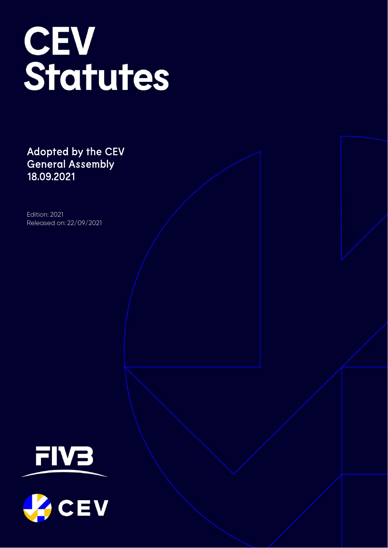# CEV<br>Statutes

Adopted by the CEV General Assembly 18.09.2021

Edition: 2021 Released on: 22/09/2021

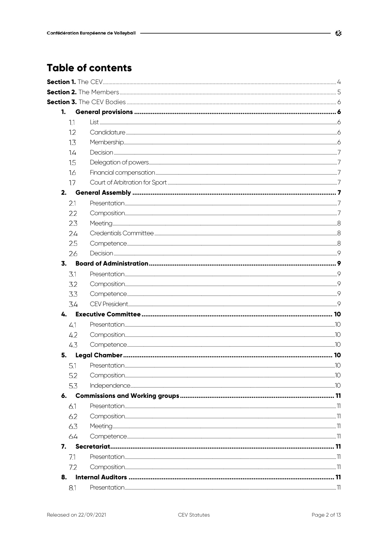# **Table of contents**

| 1.  |  |
|-----|--|
| 1.1 |  |
| 1.2 |  |
| 1.3 |  |
| 14  |  |
| 1.5 |  |
| 1.6 |  |
| 1.7 |  |
| 2.  |  |
| 2.1 |  |
| 2.2 |  |
| 2.3 |  |
| 2.4 |  |
| 2.5 |  |
| 2.6 |  |
| 3.  |  |
| 3.1 |  |
| 3.2 |  |
| 3.3 |  |
| 3.4 |  |
| 4.  |  |
| 4.1 |  |
| 4.2 |  |
| 4.3 |  |
| 5.  |  |
| 5.1 |  |
| 5.2 |  |
| 5.3 |  |
|     |  |
| 6.1 |  |
| 6.2 |  |
| 6.3 |  |
| 6.4 |  |
| 7.  |  |
| 7.1 |  |
| 7.2 |  |
| 8.  |  |
| 8.1 |  |
|     |  |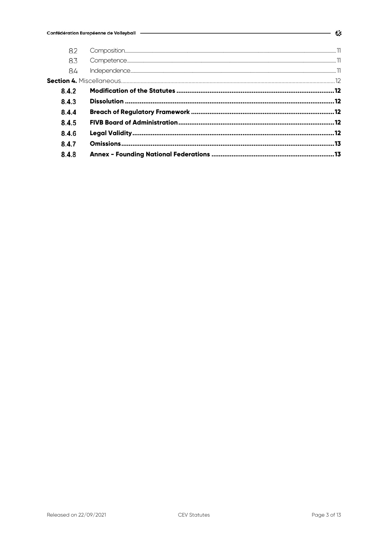| 8.2   |  |      |
|-------|--|------|
| 8.3   |  |      |
| 84    |  |      |
|       |  |      |
| 8.4.2 |  |      |
| 8.4.3 |  |      |
| 8.4.4 |  |      |
| 8.4.5 |  |      |
| 8.4.6 |  |      |
| 8.4.7 |  | . 13 |
| 8.4.8 |  |      |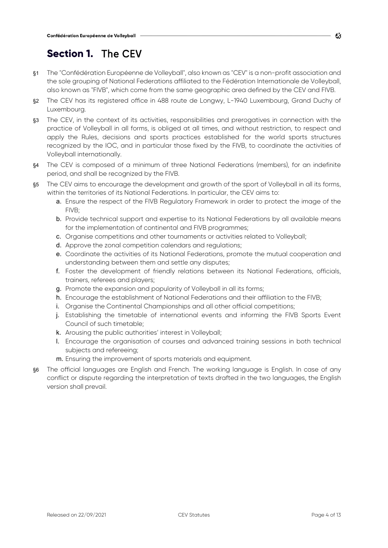# **Section 1.** The CEV

- §1 The "Confédération Européenne de Volleyball", also known as "CEV" is a non-profit association and the sole grouping of National Federations affiliated to the Fédération Internationale de Volleyball, also known as "FIVB", which come from the same geographic area defined by the CEV and FIVB.
- §2 The CEV has its registered office in 488 route de Longwy, L-1940 Luxembourg, Grand Duchy of Luxembourg.
- §3 The CEV, in the context of its activities, responsibilities and prerogatives in connection with the practice of Volleyball in all forms, is obliged at all times, and without restriction, to respect and apply the Rules, decisions and sports practices established for the world sports structures recognized by the IOC, and in particular those fixed by the FIVB, to coordinate the activities of Volleyball internationally.
- §4 The CEV is composed of a minimum of three National Federations (members), for an indefinite period, and shall be recognized by the FIVB.
- §5 The CEV aims to encourage the development and growth of the sport of Volleyball in all its forms, within the territories of its National Federations. In particular, the CEV aims to:
	- a. Ensure the respect of the FIVB Regulatory Framework in order to protect the image of the FIVB;
	- b. Provide technical support and expertise to its National Federations by all available means for the implementation of continental and FIVB programmes;
	- c. Organise competitions and other tournaments or activities related to Volleyball;
	- d. Approve the zonal competition calendars and regulations;
	- e. Coordinate the activities of its National Federations, promote the mutual cooperation and understanding between them and settle any disputes;
	- f. Foster the development of friendly relations between its National Federations, officials, trainers, referees and players;
	- g. Promote the expansion and popularity of Volleyball in all its forms;
	- h. Encourage the establishment of National Federations and their affiliation to the FIVB;
	- i. Organise the Continental Championships and all other official competitions;
	- j. Establishing the timetable of international events and informing the FIVB Sports Event Council of such timetable;
	- k. Arousing the public authorities' interest in Volleyball;
	- l. Encourage the organisation of courses and advanced training sessions in both technical subjects and refereeing;
	- m. Ensuring the improvement of sports materials and equipment.
- §6 The official languages are English and French. The working language is English. In case of any conflict or dispute regarding the interpretation of texts drafted in the two languages, the English version shall prevail.

C3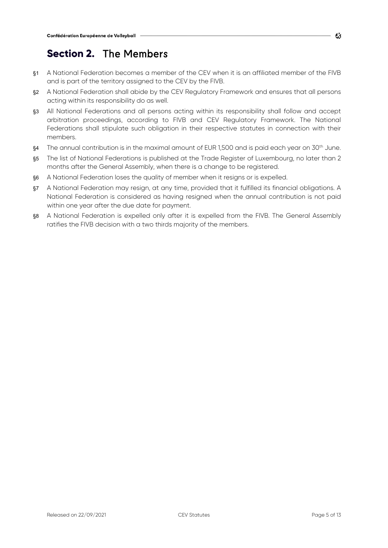# **Section 2.** The Members

- §1 A National Federation becomes a member of the CEV when it is an affiliated member of the FIVB and is part of the territory assigned to the CEV by the FIVB.
- §2 A National Federation shall abide by the CEV Regulatory Framework and ensures that all persons acting within its responsibility do as well.
- §3 All National Federations and all persons acting within its responsibility shall follow and accept arbitration proceedings, according to FIVB and CEV Regulatory Framework. The National Federations shall stipulate such obligation in their respective statutes in connection with their members.
- §4 The annual contribution is in the maximal amount of EUR 1,500 and is paid each year on 30<sup>th</sup> June.
- §5 The list of National Federations is published at the Trade Register of Luxembourg, no later than 2 months after the General Assembly, when there is a change to be registered.
- §6 A National Federation loses the quality of member when it resigns or is expelled.
- §7 A National Federation may resign, at any time, provided that it fulfilled its financial obligations. A National Federation is considered as having resigned when the annual contribution is not paid within one year after the due date for payment.
- §8 A National Federation is expelled only after it is expelled from the FIVB. The General Assembly ratifies the FIVB decision with a two thirds majority of the members.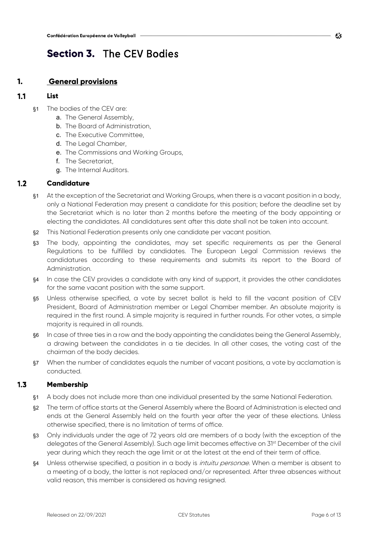# **Section 3.** The CEV Bodies

# **1. General provisions**

# $1.1$ **List**

- §1 The bodies of the CEV are:
	- a. The General Assembly,
	- b. The Board of Administration,
	- c. The Executive Committee,
	- d. The Legal Chamber,
	- e. The Commissions and Working Groups,
	- f. The Secretariat,
	- g. The Internal Auditors.

# $1.2$ **Candidature**

- §1 At the exception of the Secretariat and Working Groups, when there is a vacant position in a body, only a National Federation may present a candidate for this position; before the deadline set by the Secretariat which is no later than 2 months before the meeting of the body appointing or electing the candidates. All candidatures sent after this date shall not be taken into account.
- §2 This National Federation presents only one candidate per vacant position.
- §3 The body, appointing the candidates, may set specific requirements as per the General Regulations to be fulfilled by candidates. The European Legal Commission reviews the candidatures according to these requirements and submits its report to the Board of Administration.
- §4 In case the CEV provides a candidate with any kind of support, it provides the other candidates for the same vacant position with the same support.
- §5 Unless otherwise specified, a vote by secret ballot is held to fill the vacant position of CEV President, Board of Administration member or Legal Chamber member. An absolute majority is required in the first round. A simple majority is required in further rounds. For other votes, a simple majority is required in all rounds.
- §6 In case of three ties in a row and the body appointing the candidates being the General Assembly, a drawing between the candidates in a tie decides. In all other cases, the voting cast of the chairman of the body decides.
- §7 When the number of candidates equals the number of vacant positions, a vote by acclamation is conducted.

# $1.3$ **Membership**

- §1 A body does not include more than one individual presented by the same National Federation.
- §2 The term of office starts at the General Assembly where the Board of Administration is elected and ends at the General Assembly held on the fourth year after the year of these elections. Unless otherwise specified, there is no limitation of terms of office.
- §3 Only individuals under the age of 72 years old are members of a body (with the exception of the delegates of the General Assembly). Such age limit becomes effective on 31st December of the civil year during which they reach the age limit or at the latest at the end of their term of office.
- §4 Unless otherwise specified, a position in a body is *intuitu personae*. When a member is absent to a meeting of a body, the latter is not replaced and/or represented. After three absences without valid reason, this member is considered as having resigned.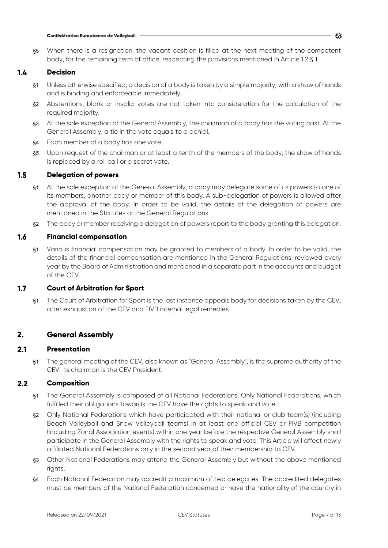§5 When there is a resignation, the vacant position is filled at the next meeting of the competent body, for the remaining term of office, respecting the provisions mentioned in Article 1.2 § 1.

# $1.4$ **Decision**

- §1 Unless otherwise specified, a decision of a body is taken by a simple majority, with a show of hands and is binding and enforceable immediately.
- §2 Abstentions, blank or invalid votes are not taken into consideration for the calculation of the required majority.
- §3 At the sole exception of the General Assembly, the chairman of a body has the voting cast. At the General Assembly, a tie in the vote equals to a denial.
- §4 Each member of a body has one vote.
- §5 Upon request of the chairman or at least a tenth of the members of the body, the show of hands is replaced by a roll call or a secret vote.

# $1.5$ **Delegation of powers**

- §1 At the sole exception of the General Assembly, a body may delegate some of its powers to one of its members, another body or member of this body. A sub-delegation of powers is allowed after the approval of the body. In order to be valid, the details of the delegation of powers are mentioned in the Statutes or the General Regulations.
- §2 The body or member receiving a delegation of powers report to the body granting this delegation.

# $1.6$ **Financial compensation**

§1 Various financial compensation may be granted to members of a body. In order to be valid, the details of the financial compensation are mentioned in the General Regulations, reviewed every year by the Board of Administration and mentioned in a separate part in the accounts and budget of the CEV.

# $1.7$ **Court of Arbitration for Sport**

§1 The Court of Arbitration for Sport is the last instance appeals body for decisions taken by the CEV, after exhaustion of the CEV and FIVB internal legal remedies.

# **2. General Assembly**

# $2.1$ **Presentation**

§1 The general meeting of the CEV, also known as "General Assembly", is the supreme authority of the CEV. Its chairman is the CEV President.

# $2.2$ **Composition**

- §1 The General Assembly is composed of all National Federations. Only National Federations, which fulfilled their obligations towards the CEV have the rights to speak and vote.
- §2 Only National Federations which have participated with their national or club team(s) (including Beach Volleyball and Snow Volleyball teams) in at least one official CEV or FIVB competition (including Zonal Association events) within one year before the respective General Assembly shall participate in the General Assembly with the rights to speak and vote. This Article will affect newly affiliated National Federations only in the second year of their membership to CEV.
- §3 Other National Federations may attend the General Assembly but without the above mentioned rights.
- §4 Each National Federation may accredit a maximum of two delegates. The accredited delegates must be members of the National Federation concerned or have the nationality of the country in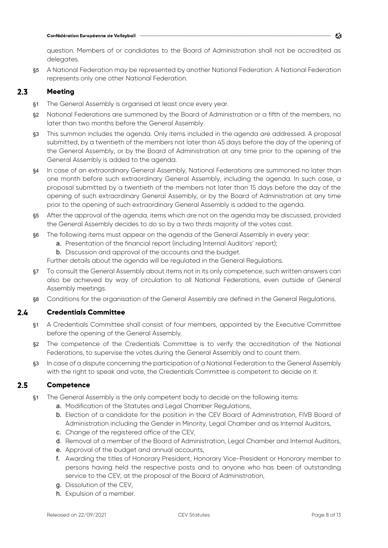question. Members of or candidates to the Board of Administration shall not be accredited as delegates.

§5 A National Federation may be represented by another National Federation. A National Federation represents only one other National Federation.

# $2.3$ **Meeting**

- §1 The General Assembly is organised at least once every year.
- §2 National Federations are summoned by the Board of Administration or a fifth of the members, no later than two months before the General Assembly.
- §3 This summon includes the agenda. Only items included in the agenda are addressed. A proposal submitted, by a twentieth of the members not later than 45 days before the day of the opening of the General Assembly, or by the Board of Administration at any time prior to the opening of the General Assembly is added to the agenda.
- §4 In case of an extraordinary General Assembly, National Federations are summoned no later than one month before such extraordinary General Assembly, including the agenda. In such case, a proposal submitted by a twentieth of the members not later than 15 days before the day of the opening of such extraordinary General Assembly, or by the Board of Administration at any time prior to the opening of such extraordinary General Assembly is added to the agenda.
- §5 After the approval of the agenda, items which are not on the agenda may be discussed, provided the General Assembly decides to do so by a two thirds majority of the votes cast.
- §6 The following items must appear on the agenda of the General Assembly in every year:
	- a. Presentation of the financial report (including Internal Auditors' report);
	- b. Discussion and approval of the accounts and the budget.
	- Further details about the agenda will be regulated in the General Regulations.
- §7 To consult the General Assembly about items not in its only competence, such written answers can also be achieved by way of circulation to all National Federations, even outside of General Assembly meetings.
- §8 Conditions for the organisation of the General Assembly are defined in the General Regulations.

# $2.4$ **Credentials Committee**

- §1 A Credentials Committee shall consist of four members, appointed by the Executive Committee before the opening of the General Assembly.
- §2 The competence of the Credentials Committee is to verify the accreditation of the National Federations, to supervise the votes during the General Assembly and to count them.
- §3 In case of a dispute concerning the participation of a National Federation to the General Assembly with the right to speak and vote, the Credentials Committee is competent to decide on it.

# $2.5$ **Competence**

- §1 The General Assembly is the only competent body to decide on the following items:
	- a. Modification of the Statutes and Legal Chamber Regulations,
	- b. Election of a candidate for the position in the CEV Board of Administration, FIVB Board of Administration including the Gender in Minority, Legal Chamber and as Internal Auditors,
	- c. Change of the registered office of the CEV,
	- d. Removal of a member of the Board of Administration, Legal Chamber and Internal Auditors,
	- e. Approval of the budget and annual accounts,
	- f. Awarding the titles of Honorary President, Honorary Vice-President or Honorary member to persons having held the respective posts and to anyone who has been of outstanding service to the CEV, at the proposal of the Board of Administration,
	- g. Dissolution of the CEV,
	- h. Expulsion of a member.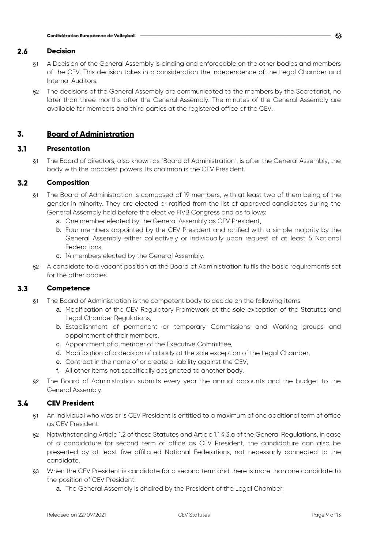# $2.6$ **Decision**

- §1 A Decision of the General Assembly is binding and enforceable on the other bodies and members of the CEV. This decision takes into consideration the independence of the Legal Chamber and Internal Auditors.
- §2 The decisions of the General Assembly are communicated to the members by the Secretariat, no later than three months after the General Assembly. The minutes of the General Assembly are available for members and third parties at the registered office of the CEV.

# **3. Board of Administration**

# $3.1$ **Presentation**

§1 The Board of directors, also known as "Board of Administration", is after the General Assembly, the body with the broadest powers. Its chairman is the CEV President.

# $3.2$ **Composition**

- §1 The Board of Administration is composed of 19 members, with at least two of them being of the gender in minority. They are elected or ratified from the list of approved candidates during the General Assembly held before the elective FIVB Congress and as follows:
	- a. One member elected by the General Assembly as CEV President,
	- b. Four members appointed by the CEV President and ratified with a simple majority by the General Assembly either collectively or individually upon request of at least 5 National Federations,
	- c. 14 members elected by the General Assembly.
- §2 A candidate to a vacant position at the Board of Administration fulfils the basic requirements set for the other bodies.

# $3.3$ **Competence**

- §1 The Board of Administration is the competent body to decide on the following items:
	- a. Modification of the CEV Regulatory Framework at the sole exception of the Statutes and Legal Chamber Regulations,
	- b. Establishment of permanent or temporary Commissions and Working groups and appointment of their members,
	- c. Appointment of a member of the Executive Committee,
	- d. Modification of a decision of a body at the sole exception of the Legal Chamber,
	- e. Contract in the name of or create a liability against the CEV,
	- f. All other items not specifically designated to another body.
- §2 The Board of Administration submits every year the annual accounts and the budget to the General Assembly.

# $3.4$ **CEV President**

- §1 An individual who was or is CEV President is entitled to a maximum of one additional term of office as CEV President.
- §2 Notwithstanding Article 1.2 of these Statutes and Article 1.1 § 3.a of the General Regulations, in case of a candidature for second term of office as CEV President, the candidature can also be presented by at least five affiliated National Federations, not necessarily connected to the candidate.
- §3 When the CEV President is candidate for a second term and there is more than one candidate to the position of CEV President:
	- a. The General Assembly is chaired by the President of the Legal Chamber,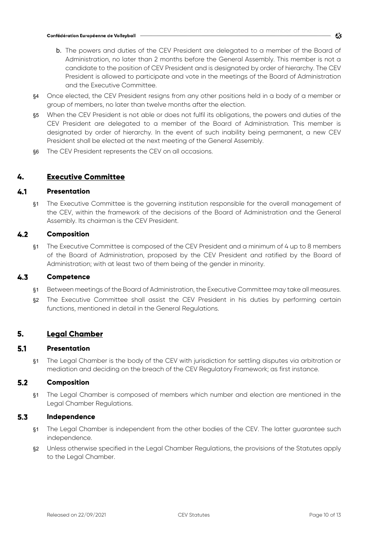- b. The powers and duties of the CEV President are delegated to a member of the Board of Administration, no later than 2 months before the General Assembly. This member is not a candidate to the position of CEV President and is designated by order of hierarchy. The CEV President is allowed to participate and vote in the meetings of the Board of Administration and the Executive Committee.
- §4 Once elected, the CEV President resigns from any other positions held in a body of a member or group of members, no later than twelve months after the election.
- §5 When the CEV President is not able or does not fulfil its obligations, the powers and duties of the CEV President are delegated to a member of the Board of Administration. This member is designated by order of hierarchy. In the event of such inability being permanent, a new CEV President shall be elected at the next meeting of the General Assembly.
- §6 The CEV President represents the CEV on all occasions.

# **4. Executive Committee**

### 4.1 **Presentation**

§1 The Executive Committee is the governing institution responsible for the overall management of the CEV, within the framework of the decisions of the Board of Administration and the General Assembly. Its chairman is the CEV President.

# $4.2$ **Composition**

§1 The Executive Committee is composed of the CEV President and a minimum of 4 up to 8 members of the Board of Administration, proposed by the CEV President and ratified by the Board of Administration; with at least two of them being of the gender in minority.

# $4.3$ **Competence**

- §1 Between meetings of the Board of Administration, the Executive Committee may take all measures.
- §2 The Executive Committee shall assist the CEV President in his duties by performing certain functions, mentioned in detail in the General Regulations.

# **5. Legal Chamber**

### $5.1$ **Presentation**

§1 The Legal Chamber is the body of the CEV with jurisdiction for settling disputes via arbitration or mediation and deciding on the breach of the CEV Regulatory Framework; as first instance.

# $5.2$ **Composition**

§1 The Legal Chamber is composed of members which number and election are mentioned in the Legal Chamber Regulations.

### $5.3$ **Independence**

- §1 The Legal Chamber is independent from the other bodies of the CEV. The latter guarantee such independence.
- §2 Unless otherwise specified in the Legal Chamber Regulations, the provisions of the Statutes apply to the Legal Chamber.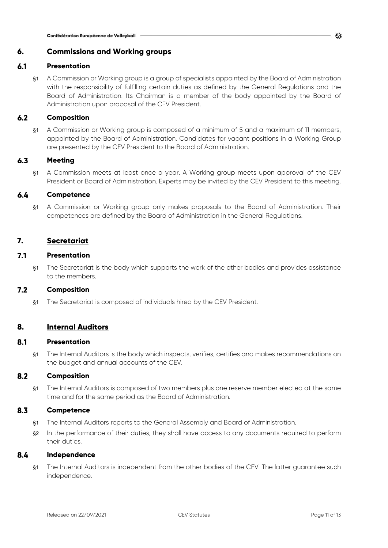# **6. Commissions and Working groups**

# $6.1$ **Presentation**

§1 A Commission or Working group is a group of specialists appointed by the Board of Administration with the responsibility of fulfilling certain duties as defined by the General Regulations and the Board of Administration. Its Chairman is a member of the body appointed by the Board of Administration upon proposal of the CEV President.

# $6.2$ **Composition**

§1 A Commission or Working group is composed of a minimum of 5 and a maximum of 11 members, appointed by the Board of Administration. Candidates for vacant positions in a Working Group are presented by the CEV President to the Board of Administration.

# $6.3$ **Meeting**

§1 A Commission meets at least once a year. A Working group meets upon approval of the CEV President or Board of Administration. Experts may be invited by the CEV President to this meeting.

# $6.4$ **Competence**

§1 A Commission or Working group only makes proposals to the Board of Administration. Their competences are defined by the Board of Administration in the General Regulations.

# **7. Secretariat**

# $7.1$ **Presentation**

§1 The Secretariat is the body which supports the work of the other bodies and provides assistance to the members.

# $7.2$ **Composition**

§1 The Secretariat is composed of individuals hired by the CEV President.

# **8. Internal Auditors**

### $8.1$ **Presentation**

§1 The Internal Auditors is the body which inspects, verifies, certifies and makes recommendations on the budget and annual accounts of the CEV.

# $8.2$ **Composition**

§1 The Internal Auditors is composed of two members plus one reserve member elected at the same time and for the same period as the Board of Administration.

# 8.3 **Competence**

- §1 The Internal Auditors reports to the General Assembly and Board of Administration.
- §2 In the performance of their duties, they shall have access to any documents required to perform their duties.

### 8.4 **Independence**

§1 The Internal Auditors is independent from the other bodies of the CEV. The latter guarantee such independence.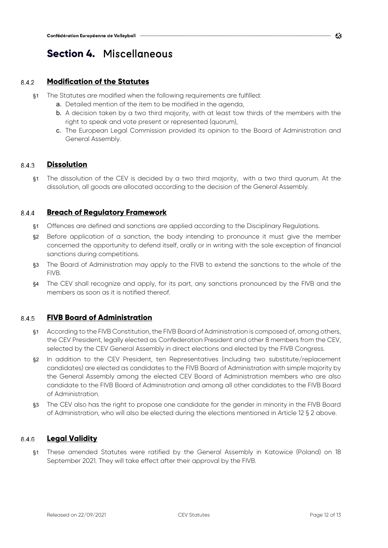# **Section 4.** Miscellaneous

# **Modification of the Statutes**  8.4.2

- §1 The Statutes are modified when the following requirements are fulfilled:
	- a. Detailed mention of the item to be modified in the agenda,
	- b. A decision taken by a two third majority, with at least tow thirds of the members with the right to speak and vote present or represented (quorum),
	- c. The European Legal Commission provided its opinion to the Board of Administration and General Assembly.

# **Dissolution**  8.4.3

§1 The dissolution of the CEV is decided by a two third majority, with a two third quorum. At the dissolution, all goods are allocated according to the decision of the General Assembly.

# **Breach of Regulatory Framework**   $8.4.4$

- §1 Offences are defined and sanctions are applied according to the Disciplinary Regulations.
- §2 Before application of a sanction, the body intending to pronounce it must give the member concerned the opportunity to defend itself, orally or in writing with the sole exception of financial sanctions during competitions.
- §3 The Board of Administration may apply to the FIVB to extend the sanctions to the whole of the FIVB.
- §4 The CEV shall recognize and apply, for its part, any sanctions pronounced by the FIVB and the members as soon as it is notified thereof.

# **FIVB Board of Administration**  845

- §1 According to the FIVB Constitution, the FIVB Board of Administration is composed of, among others, the CEV President, legally elected as Confederation President and other 8 members from the CEV, selected by the CEV General Assembly in direct elections and elected by the FIVB Congress.
- §2 In addition to the CEV President, ten Representatives (including two substitute/replacement candidates) are elected as candidates to the FIVB Board of Administration with simple majority by the General Assembly among the elected CEV Board of Administration members who are also candidate to the FIVB Board of Administration and among all other candidates to the FIVB Board of Administration.
- §3 The CEV also has the right to propose one candidate for the gender in minority in the FIVB Board of Administration, who will also be elected during the elections mentioned in Article 12 § 2 above.

# **Legal Validity**  8.4.6

§1 These amended Statutes were ratified by the General Assembly in Katowice (Poland) on 18 September 2021. They will take effect after their approval by the FIVB.